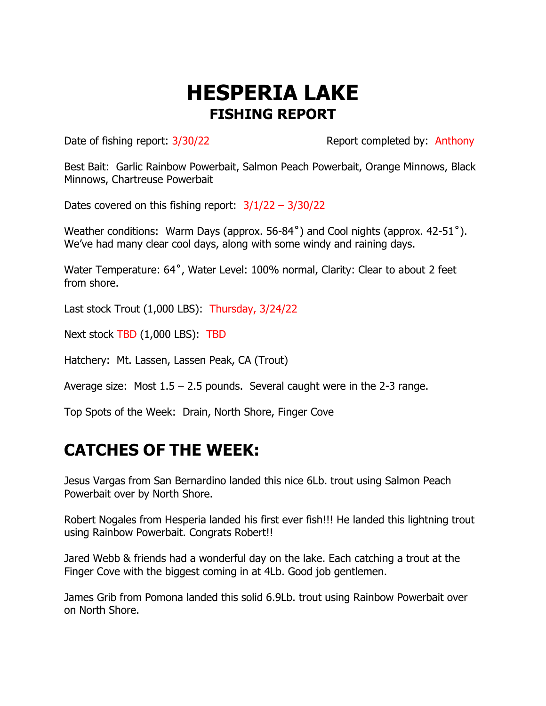## **HESPERIA LAKE FISHING REPORT**

Date of fishing report:  $3/30/22$  Report completed by: Anthony

Best Bait: Garlic Rainbow Powerbait, Salmon Peach Powerbait, Orange Minnows, Black Minnows, Chartreuse Powerbait

Dates covered on this fishing report:  $3/1/22 - 3/30/22$ 

Weather conditions: Warm Days (approx. 56-84˚) and Cool nights (approx. 42-51˚). We've had many clear cool days, along with some windy and raining days.

Water Temperature: 64°, Water Level: 100% normal, Clarity: Clear to about 2 feet from shore.

Last stock Trout (1,000 LBS): Thursday, 3/24/22

Next stock TBD (1,000 LBS): TBD

Hatchery: Mt. Lassen, Lassen Peak, CA (Trout)

Average size: Most  $1.5 - 2.5$  pounds. Several caught were in the 2-3 range.

Top Spots of the Week: Drain, North Shore, Finger Cove

## **CATCHES OF THE WEEK:**

Jesus Vargas from San Bernardino landed this nice 6Lb. trout using Salmon Peach Powerbait over by North Shore.

Robert Nogales from Hesperia landed his first ever fish!!! He landed this lightning trout using Rainbow Powerbait. Congrats Robert!!

Jared Webb & friends had a wonderful day on the lake. Each catching a trout at the Finger Cove with the biggest coming in at 4Lb. Good job gentlemen.

James Grib from Pomona landed this solid 6.9Lb. trout using Rainbow Powerbait over on North Shore.